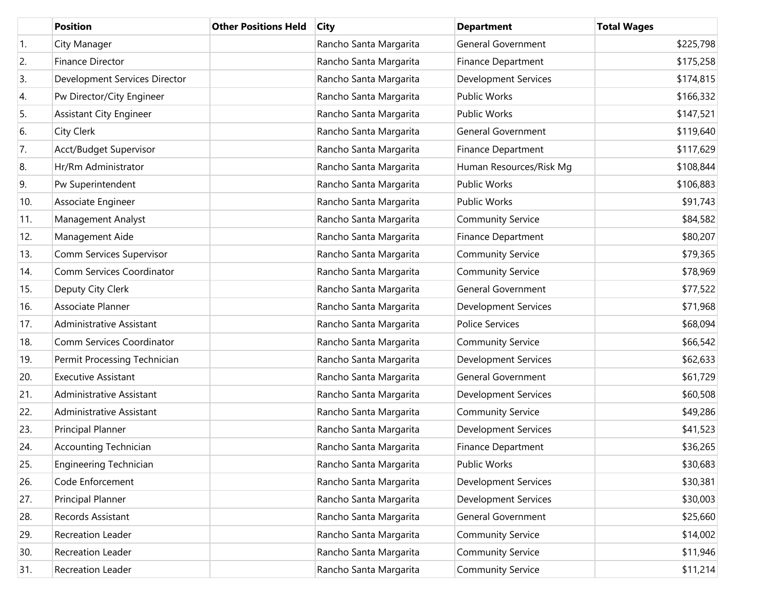|                  | <b>Position</b>               | <b>Other Positions Held</b> | <b>City</b>            | <b>Department</b>           | <b>Total Wages</b> |
|------------------|-------------------------------|-----------------------------|------------------------|-----------------------------|--------------------|
| $\overline{1}$ . | City Manager                  |                             | Rancho Santa Margarita | <b>General Government</b>   | \$225,798          |
| 2.               | <b>Finance Director</b>       |                             | Rancho Santa Margarita | <b>Finance Department</b>   | \$175,258          |
| 3.               | Development Services Director |                             | Rancho Santa Margarita | <b>Development Services</b> | \$174,815          |
| 4.               | Pw Director/City Engineer     |                             | Rancho Santa Margarita | Public Works                | \$166,332          |
| 5.               | Assistant City Engineer       |                             | Rancho Santa Margarita | Public Works                | \$147,521          |
| 6.               | City Clerk                    |                             | Rancho Santa Margarita | <b>General Government</b>   | \$119,640          |
| 7.               | Acct/Budget Supervisor        |                             | Rancho Santa Margarita | Finance Department          | \$117,629          |
| 8.               | Hr/Rm Administrator           |                             | Rancho Santa Margarita | Human Resources/Risk Mg     | \$108,844          |
| 9.               | Pw Superintendent             |                             | Rancho Santa Margarita | Public Works                | \$106,883          |
| 10.              | Associate Engineer            |                             | Rancho Santa Margarita | Public Works                | \$91,743           |
| 11.              | Management Analyst            |                             | Rancho Santa Margarita | <b>Community Service</b>    | \$84,582           |
| 12.              | Management Aide               |                             | Rancho Santa Margarita | Finance Department          | \$80,207           |
| 13.              | Comm Services Supervisor      |                             | Rancho Santa Margarita | <b>Community Service</b>    | \$79,365           |
| 14.              | Comm Services Coordinator     |                             | Rancho Santa Margarita | <b>Community Service</b>    | \$78,969           |
| 15.              | Deputy City Clerk             |                             | Rancho Santa Margarita | <b>General Government</b>   | \$77,522           |
| 16.              | Associate Planner             |                             | Rancho Santa Margarita | <b>Development Services</b> | \$71,968           |
| 17.              | Administrative Assistant      |                             | Rancho Santa Margarita | <b>Police Services</b>      | \$68,094           |
| 18.              | Comm Services Coordinator     |                             | Rancho Santa Margarita | <b>Community Service</b>    | \$66,542           |
| 19.              | Permit Processing Technician  |                             | Rancho Santa Margarita | <b>Development Services</b> | \$62,633           |
| 20.              | <b>Executive Assistant</b>    |                             | Rancho Santa Margarita | <b>General Government</b>   | \$61,729           |
| 21.              | Administrative Assistant      |                             | Rancho Santa Margarita | <b>Development Services</b> | \$60,508           |
| 22.              | Administrative Assistant      |                             | Rancho Santa Margarita | <b>Community Service</b>    | \$49,286           |
| 23.              | Principal Planner             |                             | Rancho Santa Margarita | <b>Development Services</b> | \$41,523           |
| 24.              | <b>Accounting Technician</b>  |                             | Rancho Santa Margarita | <b>Finance Department</b>   | \$36,265           |
| 25.              | <b>Engineering Technician</b> |                             | Rancho Santa Margarita | Public Works                | \$30,683           |
| 26.              | Code Enforcement              |                             | Rancho Santa Margarita | <b>Development Services</b> | \$30,381           |
| 27.              | Principal Planner             |                             | Rancho Santa Margarita | <b>Development Services</b> | \$30,003           |
| 28.              | Records Assistant             |                             | Rancho Santa Margarita | General Government          | \$25,660           |
| 29.              | Recreation Leader             |                             | Rancho Santa Margarita | <b>Community Service</b>    | \$14,002           |
| 30.              | Recreation Leader             |                             | Rancho Santa Margarita | <b>Community Service</b>    | \$11,946           |
| 31.              | Recreation Leader             |                             | Rancho Santa Margarita | <b>Community Service</b>    | \$11,214           |